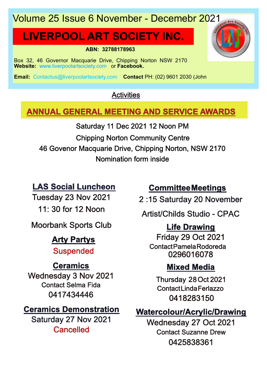# Volume 25 Issue 6 November - Decemebr 2021

# **LIVERPOOL ART SOCIETY INC.**

**ABN: 32788178963**

Box 32, 46 Governor Macquarie Drive, Chipping Norton NSW 2170 **Website:** www.liverpoolartsociety.com or **Facebook.**

**Email:** Contactus@liverpoolartsociety.com **Contact** PH: (02) 9601 2030 (John

### **Activities**

### **ANNUAL GENERAL MEETING AND SERVICE AWARDS**

Saturday 11 Dec 2021 12 Noon PM Chipping Norton Community Centre 46 Govenor Macquarie Drive, Chipping Norton, NSW 2170 Nomination form inside

# **LAS Social Luncheon**

Tuesday 23 Nov 2021 11: 30 for 12 Noon

Moorbank Sports Club

# **Arty Partys**

Suspended

# **Ceramics**

Wednesday 3 Nov 2021 Contact Selma Fida 0417434446

### **Ceramics Demonstration**

Saturday 27 Nov 2021 **Cancelled** 

## **CommitteeMeetings**

2 :15 Saturday 20 November

Artist/Childs Studio - CPAC

### **Life Drawing**

Friday 29 Oct 2021 ContactPamelaRodoreda 0296016078

# **Mixed Media**

Thursday 28Oct 2021 ContactLindaFerlazzo 0418283150

## **Watercolour/Acrylic/Drawing**

Wednesday 27 Oct 2021 Contact Suzanne Drew 0425838361

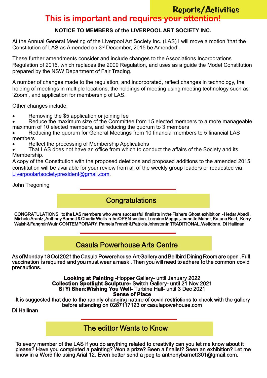# Reports/Activities

### **This is important and requires your attention!**

#### **NOTICE TO MEMBERS of the LIVERPOOL ART SOCIETY INC.**

At the Annual General Meeting of the Liverpool Art Society Inc. (LAS) I will move a motion 'that the Constitution of LAS as Amended on 3rd December, 2015 be Amended'.

These further amendments consider and include changes to the Associations Incorporations Regulation of 2016, which replaces the 2009 Regulation, and uses as a guide the Model Constitution prepared by the NSW Department of Fair Trading.

A number of changes made to the regulation, and incorporated, reflect changes in technology, the holding of meetings in multiple locations, the holdings of meeting using meeting technology such as 'Zoom', and application for membership of LAS.

Other changes include:

- � Removing the \$5 application or joining fee
- Reduce the maximum size of the Committee from 15 elected members to a more manageable maximum of 10 elected members, and reducing the quorum to 3 members

Reducing the quorum for General Meetings from 10 financial members to 5 financial LAS members

• Reflect the processing of Membership Applications

That LAS does not have an office from which to conduct the affairs of the Society and its Membership.

A copy of the Constitution with the proposed deletions and proposed additions to the amended 2015 constitution will be available for your review from all of the weekly group leaders or requested via Liverpoolartsocietypresident@gmail.com.

John Tregoning

### **Congratulations**

CONGRATULATIONS totheLAS members who were successful finalists inthe Fishers Ghost exhibition -Hedar Abadi, MicheleArantz,AnthonyBarnett&CharlieWells intheOPEN section.Lorraine Maggs,Jeanette Maher,Katuna Reid,,Kerry Walsh&FangminWuinCONTEMPORARY.PamelaFrench&PatriciaJohnstoninTRADITIONAL.Welldone. Di Hallinan

### Casula Powerhouse Arts Centre

As of Monday 18 Oct 2021 the Casula Powerehouse Art Gallery and Bellbird Dining Room are open . Full vaccination is required and you must wear amask .Then you will need to adhere to the common covid precautions.

> **Looking at Painting -**Hopper Gallery- until January 2022 **Collection Spotlight Sculpture-** Switch Gallery- until 21 Nov 2021 **Si Yi Shen:Wishing You Well-** Turbine Hall- until 3 Dec 2021 **Sense of Place**

It is suggested that due to the rapidly changing nature of covid restrictions to check with the gallery before attending on 0287117123 or casulapowehouse.com

Di Hallinan

#### The edittor Wants to Know

To every member of the LAS if you do anything related to creativity can you let me know about it please? Have you completed a painting? Won a prize? Been a finalist? Seen an exhibition? Let me know in a Word file using Arial 12. Even better send a jpeg to anthonybarnett301@gmail.com.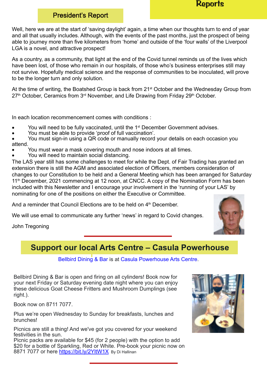#### Reports

#### President's Report

Well, here we are at the start of 'saving daylight' again, a time when our thoughts turn to end of year and all that usually includes. Although, with the events of the past months, just the prospect of being able to journey more than five kilometers from 'home' and outside of the 'four walls' of the Liverpool LGA is a novel, and attractive prospect!

As a country, as a community, that light at the end of the Covid tunnel reminds us of the lives which have been lost, of those who remain in our hospitals, of those who's business enterprises still may not survive. Hopefully medical science and the response of communities to be inoculated, will prove to be the longer turn and only solution.

At the time of writing, the Boatshed Group is back from 21<sup>st</sup> October and the Wednesday Group from  $27<sup>th</sup>$  October, Ceramics from  $3<sup>rd</sup>$  November, and Life Drawing from Friday  $29<sup>th</sup>$  October.

In each location recommencement comes with conditions :

- You will need to be fully vaccinated, until the 1<sup>st</sup> December Government advises.
- � You must be able to provide 'proof of full vaccination'.

• You must sign-in using a QR code or manually record your details on each occasion you attend.

- You must wear a mask covering mouth and nose indoors at all times.
- You will need to maintain social distancing.

The LAS year still has some challenges to meet for while the Dept. of Fair Trading has granted an extension there is still the AGM and associated election of Officers, members consideration of changes to our Constitution to be held and a General Meeting which has been arranged for Saturday 11<sup>th</sup> December, 2021 commencing at 12 noon, at CNCC. A copy of the Nomination Form has been included with this Newsletter and I encourage your involvement in the 'running of your LAS' by nominating for one of the positions on either the Executive or Committee.

And a reminder that Council Elections are to be held on 4<sup>th</sup> December.

We will use email to communicate any further 'news' in regard to Covid changes.

John Tregoning



### **Support our local Arts Centre – Casula Powerhouse**

Bellbird Dining & Bar is at Casula Powerhouse Arts Centre.

Bellbird Dining & Bar is open and firing on all cylinders! Book now for your next Friday or Saturday evening date night where you can enjoy these delicious Goat Cheese Fritters and Mushroom Dumplings (see right.).

Book now on 8711 7077.

Plus we're open Wednesday to Sunday for breakfasts, lunches and brunches!

Picnics are still a thing! And we've got you covered for your weekend festivities in the sun.

Picnic packs are available for \$45 (for 2 people) with the option to add \$20 for a bottle of Sparkling, Red or White. Pre-book your picnic now on 8871 7077 or here https://bit.ly/2YltW1X By Di Hallinan

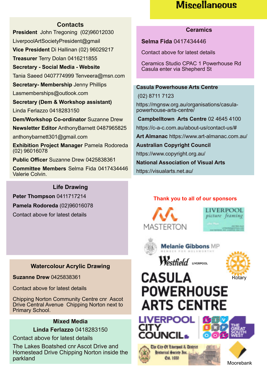# **Miscellaneous**

#### **Contacts**

**President** John Tregoning (02)96012030 LiverpoolArtSocietyPresident@gmail **Vice President** Di Hallinan (02) 96029217 **Treasurer** Terry Dolan 0416211855 **Secretary - Social Media - Website** Tania Saeed 0407774999 Tenveera@msn.com **Secretary- Membership** Jenny Phillips Lasmemberships@outlook.com **Secretary (Dem & Workshop assistant)** Linda Ferlazzo 0418283150 **Dem/Workshop Co-ordinator** Suzanne Drew **Newsletter Editor** AnthonyBarnett 0487965825 anthonybarnett301@gmail.com **Exhibition Project Manager** Pamela Rodoreda (02) 96016078 **Public Officer** Suzanne Drew 0425838361 **Committee Members** Selma Fida 0417434446 Valerie Colvin.

**Life Drawing Peter Thompson** 0411717214 **Pamela Rodoreda** (02)96016078 Contact above for latest details

#### **Watercolour Acrylic Drawing**

**Suzanne Drew** 0425838361

Contact above for latest details

Chipping Norton Community Centre cnr Ascot Drive Central Avenue Chipping Norton next to Primary School.

#### **Mixed Media**

**Linda Ferlazzo** 0418283150

Contact above for latest details

The Lakes Boatshed cnr Ascot Drive and Homestead Drive Chipping Norton inside the parkland

#### **Ceramics**

**Selma Fida** 0417434446

Contact above for latest details

Ceramics Studio CPAC 1 Powerhouse Rd Casula enter via Shepherd St

#### **Casula Powerhouse Arts Centre**

(02) 8711 7123 https://mgnsw.org.au/organisations/casulapowerhouse-arts-centre/ **Campbelltown Arts Centre** 02 4645 4100 https://c-a-c.com.au/about-us/contact-us/#

**Art Almanac** https://www.art-almanac.com.au/

**Australian Copyright Council**

https://www.copyright.org.au/

**National Association of Visual Arts**

https://visualarts.net.au/

#### **Thank you to all of our sponsors**







**Melanie Gibbons MP** 

Westfield uvercon



# **CASULA POWERHOUSE ARTS CENTRE**